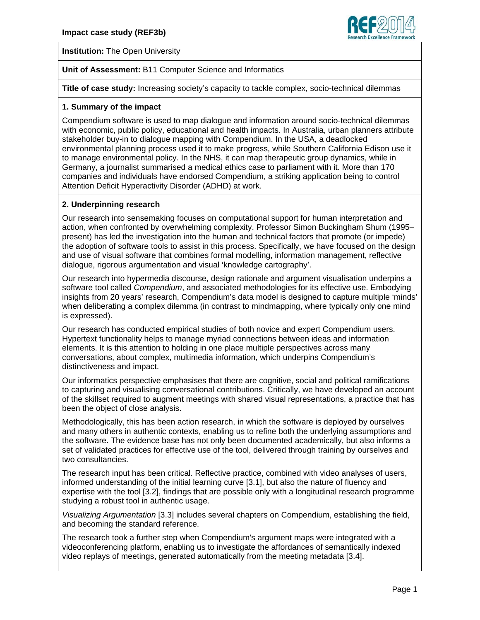

**Institution:** The Open University

**Unit of Assessment:** B11 Computer Science and Informatics

**Title of case study:** Increasing society's capacity to tackle complex, socio-technical dilemmas

#### **1. Summary of the impact**

Compendium software is used to map dialogue and information around socio-technical dilemmas with economic, public policy, educational and health impacts. In Australia, urban planners attribute stakeholder buy-in to dialogue mapping with Compendium. In the USA, a deadlocked environmental planning process used it to make progress, while Southern California Edison use it to manage environmental policy. In the NHS, it can map therapeutic group dynamics, while in Germany, a journalist summarised a medical ethics case to parliament with it. More than 170 companies and individuals have endorsed Compendium, a striking application being to control Attention Deficit Hyperactivity Disorder (ADHD) at work.

### **2. Underpinning research**

Our research into sensemaking focuses on computational support for human interpretation and action, when confronted by overwhelming complexity. Professor Simon Buckingham Shum (1995– present) has led the investigation into the human and technical factors that promote (or impede) the adoption of software tools to assist in this process. Specifically, we have focused on the design and use of visual software that combines formal modelling, information management, reflective dialogue, rigorous argumentation and visual 'knowledge cartography'.

Our research into hypermedia discourse, design rationale and argument visualisation underpins a software tool called *Compendium*, and associated methodologies for its effective use. Embodying insights from 20 years' research, Compendium's data model is designed to capture multiple 'minds' when deliberating a complex dilemma (in contrast to mindmapping, where typically only one mind is expressed).

Our research has conducted empirical studies of both novice and expert Compendium users. Hypertext functionality helps to manage myriad connections between ideas and information elements. It is this attention to holding in one place multiple perspectives across many conversations, about complex, multimedia information, which underpins Compendium's distinctiveness and impact.

Our informatics perspective emphasises that there are cognitive, social and political ramifications to capturing and visualising conversational contributions. Critically, we have developed an account of the skillset required to augment meetings with shared visual representations, a practice that has been the object of close analysis.

Methodologically, this has been action research, in which the software is deployed by ourselves and many others in authentic contexts, enabling us to refine both the underlying assumptions and the software. The evidence base has not only been documented academically, but also informs a set of validated practices for effective use of the tool, delivered through training by ourselves and two consultancies.

The research input has been critical. Reflective practice, combined with video analyses of users, informed understanding of the initial learning curve [3.1], but also the nature of fluency and expertise with the tool [3.2], findings that are possible only with a longitudinal research programme studying a robust tool in authentic usage.

*Visualizing Argumentation* [3.3] includes several chapters on Compendium, establishing the field, and becoming the standard reference.

The research took a further step when Compendium's argument maps were integrated with a videoconferencing platform, enabling us to investigate the affordances of semantically indexed video replays of meetings, generated automatically from the meeting metadata [3.4].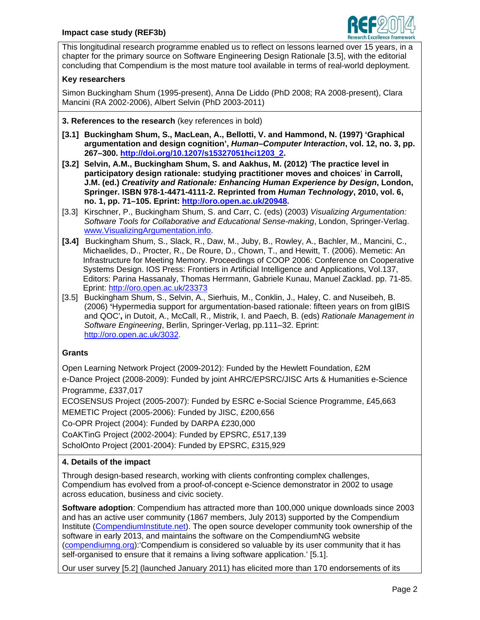

This longitudinal research programme enabled us to reflect on lessons learned over 15 years, in a chapter for the primary source on Software Engineering Design Rationale [3.5], with the editorial concluding that Compendium is the most mature tool available in terms of real-world deployment.

# **Key researchers**

Simon Buckingham Shum (1995-present), Anna De Liddo (PhD 2008; RA 2008-present), Clara Mancini (RA 2002-2006), Albert Selvin (PhD 2003-2011)

**3. References to the research** (key references in bold)

- **[3.1] Buckingham Shum, S., MacLean, A., Bellotti, V. and Hammond, N. (1997) 'Graphical argumentation and design cognition',** *Human–Computer Interaction***, vol. 12, no. 3, pp. 267–300. http://doi.org/10.1207/s15327051hci1203\_2.**
- **[3.2] Selvin, A.M., Buckingham Shum, S. and Aakhus, M. (2012)** '**The practice level in participatory design rationale: studying practitioner moves and choices**' **in Carroll, J.M. (ed.)** *Creativity and Rationale: Enhancing Human Experience by Design***, London, Springer. ISBN 978-1-4471-4111-2. Reprinted from** *Human Technology***, 2010, vol. 6, no. 1, pp. 71–105. Eprint: http://oro.open.ac.uk/20948.**
- [3.3] Kirschner, P., Buckingham Shum, S. and Carr, C. (eds) (2003) *Visualizing Argumentation: Software Tools for Collaborative and Educational Sense-making*, London, Springer-Verlag. www.VisualizingArgumentation.info.
- **[3.4]** Buckingham Shum, S., Slack, R., Daw, M., Juby, B., Rowley, A., Bachler, M., Mancini, C., Michaelides, D., Procter, R., De Roure, D., Chown, T., and Hewitt, T. (2006). Memetic: An Infrastructure for Meeting Memory. Proceedings of COOP 2006: Conference on Cooperative Systems Design. IOS Press: Frontiers in Artificial Intelligence and Applications, Vol.137, Editors: Parina Hassanaly, Thomas Herrmann, Gabriele Kunau, Manuel Zacklad. pp. 71-85. Eprint: http://oro.open.ac.uk/23373
- [3.5] Buckingham Shum, S., Selvin, A., Sierhuis, M., Conklin, J., Haley, C. and Nuseibeh, B. (2006) **'**Hypermedia support for argumentation-based rationale: fifteen years on from gIBIS and QOC'**,** in Dutoit, A., McCall, R., Mistrik, I. and Paech, B. (eds) *Rationale Management in Software Engineering*, Berlin, Springer-Verlag, pp.111–32. Eprint: http://oro.open.ac.uk/3032.

# **Grants**

Open Learning Network Project (2009-2012): Funded by the Hewlett Foundation, £2M e-Dance Project (2008-2009): Funded by joint AHRC/EPSRC/JISC Arts & Humanities e-Science Programme, £337,017 ECOSENSUS Project (2005-2007): Funded by ESRC e-Social Science Programme, £45,663 MEMETIC Project (2005-2006): Funded by JISC, £200,656

Co-OPR Project (2004): Funded by DARPA £230,000

CoAKTinG Project (2002-2004): Funded by EPSRC, £517,139

ScholOnto Project (2001-2004): Funded by EPSRC, £315,929

### **4. Details of the impact**

Through design-based research, working with clients confronting complex challenges, Compendium has evolved from a proof-of-concept e-Science demonstrator in 2002 to usage across education, business and civic society.

**Software adoption**: Compendium has attracted more than 100,000 unique downloads since 2003 and has an active user community (1867 members, July 2013) supported by the Compendium Institute (CompendiumInstitute.net). The open source developer community took ownership of the software in early 2013, and maintains the software on the CompendiumNG website (compendiumng.org):'Compendium is considered so valuable by its user community that it has self-organised to ensure that it remains a living software application.' [5.1].

Our user survey [5.2] (launched January 2011) has elicited more than 170 endorsements of its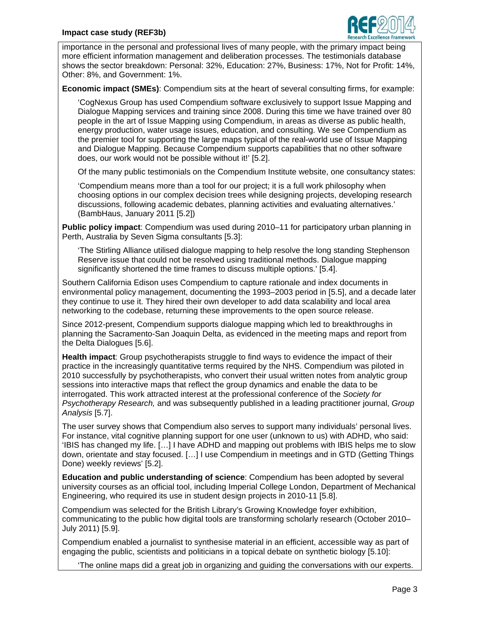

importance in the personal and professional lives of many people, with the primary impact being more efficient information management and deliberation processes. The testimonials database shows the sector breakdown: Personal: 32%, Education: 27%, Business: 17%, Not for Profit: 14%, Other: 8%, and Government: 1%.

**Economic impact (SMEs)**: Compendium sits at the heart of several consulting firms, for example:

'CogNexus Group has used Compendium software exclusively to support Issue Mapping and Dialogue Mapping services and training since 2008. During this time we have trained over 80 people in the art of Issue Mapping using Compendium, in areas as diverse as public health, energy production, water usage issues, education, and consulting. We see Compendium as the premier tool for supporting the large maps typical of the real-world use of Issue Mapping and Dialogue Mapping. Because Compendium supports capabilities that no other software does, our work would not be possible without it!' [5.2].

Of the many public testimonials on the Compendium Institute website, one consultancy states:

'Compendium means more than a tool for our project; it is a full work philosophy when choosing options in our complex decision trees while designing projects, developing research discussions, following academic debates, planning activities and evaluating alternatives.' (BambHaus, January 2011 [5.2])

**Public policy impact**: Compendium was used during 2010–11 for participatory urban planning in Perth, Australia by Seven Sigma consultants [5.3]:

'The Stirling Alliance utilised dialogue mapping to help resolve the long standing Stephenson Reserve issue that could not be resolved using traditional methods. Dialogue mapping significantly shortened the time frames to discuss multiple options.' [5.4].

Southern California Edison uses Compendium to capture rationale and index documents in environmental policy management, documenting the 1993–2003 period in [5.5], and a decade later they continue to use it. They hired their own developer to add data scalability and local area networking to the codebase, returning these improvements to the open source release.

Since 2012-present, Compendium supports dialogue mapping which led to breakthroughs in planning the Sacramento-San Joaquin Delta, as evidenced in the meeting maps and report from the Delta Dialogues [5.6].

**Health impact**: Group psychotherapists struggle to find ways to evidence the impact of their practice in the increasingly quantitative terms required by the NHS. Compendium was piloted in 2010 successfully by psychotherapists, who convert their usual written notes from analytic group sessions into interactive maps that reflect the group dynamics and enable the data to be interrogated. This work attracted interest at the professional conference of the *Society for Psychotherapy Research,* and was subsequently published in a leading practitioner journal, *Group Analysis* [5.7].

The user survey shows that Compendium also serves to support many individuals' personal lives. For instance, vital cognitive planning support for one user (unknown to us) with ADHD, who said: 'IBIS has changed my life. […] I have ADHD and mapping out problems with IBIS helps me to slow down, orientate and stay focused. […] I use Compendium in meetings and in GTD (Getting Things Done) weekly reviews' [5.2].

**Education and public understanding of science**: Compendium has been adopted by several university courses as an official tool, including Imperial College London, Department of Mechanical Engineering, who required its use in student design projects in 2010-11 [5.8].

Compendium was selected for the British Library's Growing Knowledge foyer exhibition, communicating to the public how digital tools are transforming scholarly research (October 2010– July 2011) [5.9].

Compendium enabled a journalist to synthesise material in an efficient, accessible way as part of engaging the public, scientists and politicians in a topical debate on synthetic biology [5.10]:

'The online maps did a great job in organizing and guiding the conversations with our experts.